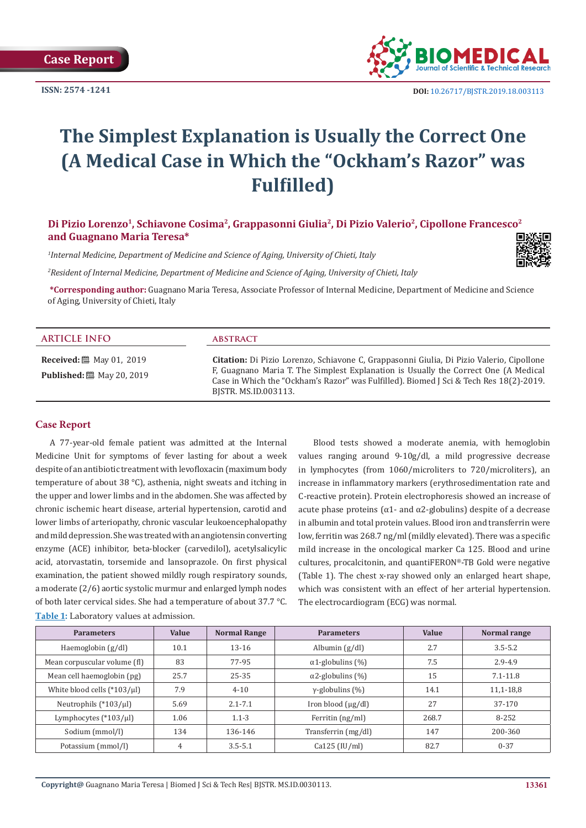

# **The Simplest Explanation is Usually the Correct One (A Medical Case in Which the "Ockham's Razor" was Fulfilled)**

# **Di Pizio Lorenzo1, Schiavone Cosima2, Grappasonni Giulia2, Di Pizio Valerio2, Cipollone Francesco2 and Guagnano Maria Teresa\***

*1 Internal Medicine, Department of Medicine and Science of Aging, University of Chieti, Italy*

*2 Resident of Internal Medicine, Department of Medicine and Science of Aging, University of Chieti, Italy*

**\*Corresponding author:** Guagnano Maria Teresa, Associate Professor of Internal Medicine, Department of Medicine and Science of Aging, University of Chieti, Italy

| <b>ARTICLE INFO</b>                                                               | <b>ABSTRACT</b>                                                                                                                                                                                                                                                                                          |
|-----------------------------------------------------------------------------------|----------------------------------------------------------------------------------------------------------------------------------------------------------------------------------------------------------------------------------------------------------------------------------------------------------|
| <b>Received:</b> $\ddot{\mathbf{m}}$ May 01, 2019<br><b>Published:</b> [20, 2019] | <b>Citation:</b> Di Pizio Lorenzo, Schiavone C, Grappasonni Giulia, Di Pizio Valerio, Cipollone<br>F, Guagnano Maria T. The Simplest Explanation is Usually the Correct One (A Medical<br>Case in Which the "Ockham's Razor" was Fulfilled). Biomed J Sci & Tech Res 18(2)-2019.<br>BISTR. MS.ID.003113. |

## **Case Report**

A 77-year-old female patient was admitted at the Internal Medicine Unit for symptoms of fever lasting for about a week despite of an antibiotic treatment with levofloxacin (maximum body temperature of about 38 °C), asthenia, night sweats and itching in the upper and lower limbs and in the abdomen. She was affected by chronic ischemic heart disease, arterial hypertension, carotid and lower limbs of arteriopathy, chronic vascular leukoencephalopathy and mild depression. She was treated with an angiotensin converting enzyme (ACE) inhibitor, beta-blocker (carvedilol), acetylsalicylic acid, atorvastatin, torsemide and lansoprazole. On first physical examination, the patient showed mildly rough respiratory sounds, a moderate (2/6) aortic systolic murmur and enlarged lymph nodes of both later cervical sides. She had a temperature of about 37.7 °C. **Table 1:** Laboratory values at admission.

Blood tests showed a moderate anemia, with hemoglobin values ranging around 9-10g/dl, a mild progressive decrease in lymphocytes (from 1060/microliters to 720/microliters), an increase in inflammatory markers (erythrosedimentation rate and C-reactive protein). Protein electrophoresis showed an increase of acute phase proteins ( $α1$ - and  $α2$ -globulins) despite of a decrease in albumin and total protein values. Blood iron and transferrin were low, ferritin was 268.7 ng/ml (mildly elevated). There was a specific mild increase in the oncological marker Ca 125. Blood and urine cultures, procalcitonin, and quantiFERON®-TB Gold were negative (Table 1). The chest x-ray showed only an enlarged heart shape, which was consistent with an effect of her arterial hypertension. The electrocardiogram (ECG) was normal.

| <b>Parameters</b>                | <b>Value</b> | <b>Normal Range</b> | <b>Parameters</b>        | <b>Value</b> | Normal range |
|----------------------------------|--------------|---------------------|--------------------------|--------------|--------------|
| Haemoglobin $(g/dl)$             | 10.1         | $13 - 16$           | Albumin $(g/dl)$         | 2.7          | $3.5 - 5.2$  |
| Mean corpuscular volume (fl)     | 83           | 77-95               | $\alpha$ 1-globulins (%) | 7.5          | $2.9 - 4.9$  |
| Mean cell haemoglobin (pg)       | 25.7         | 25-35               | $\alpha$ 2-globulins (%) | 15           | $7.1 - 11.8$ |
| White blood cells $(*103/\mu l)$ | 7.9          | $4 - 10$            | $\gamma$ -globulins (%)  | 14.1         | $11,1-18,8$  |
| Neutrophils $(*103/\mu l)$       | 5.69         | $2.1 - 7.1$         | Iron blood $(\mu g/dl)$  | 27           | 37-170       |
| Lymphocytes $(*103/\mu]$         | 1.06         | $1.1 - 3$           | Ferritin $\frac{mg}{ml}$ | 268.7        | 8-252        |
| Sodium (mmol/l)                  | 134          | 136-146             | Transferrin (mg/dl)      | 147          | 200-360      |
| Potassium (mmol/l)               | 4            | $3.5 - 5.1$         | Ca125 (IU/ml)            | 82.7         | $0 - 37$     |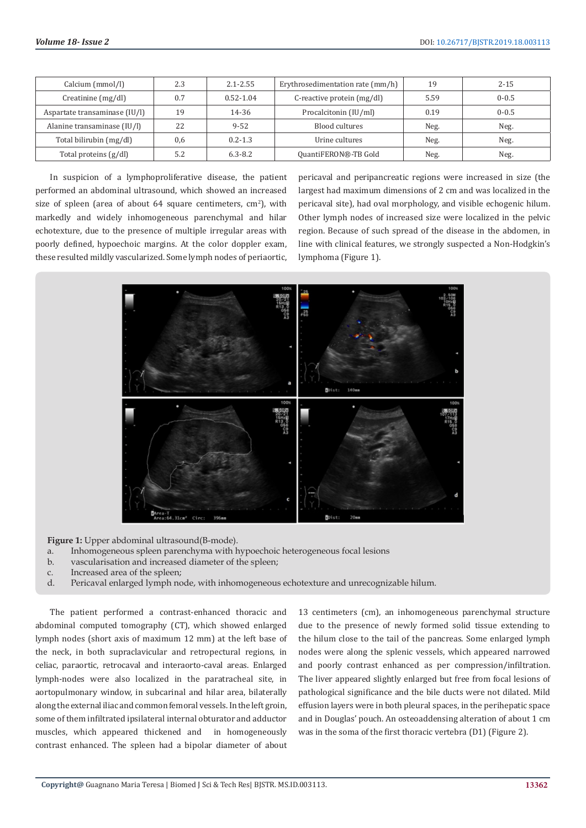| Calcium (mmol/l)              | 2.3 | $2.1 - 2.55$  | Erythrosedimentation rate (mm/h) | 19   | $2 - 15$  |
|-------------------------------|-----|---------------|----------------------------------|------|-----------|
| Creatinine (mg/dl)            | 0.7 | $0.52 - 1.04$ | C-reactive protein (mg/dl)       | 5.59 | $0 - 0.5$ |
| Aspartate transaminase (IU/I) | 19  | 14-36         | Procalcitonin (IU/ml)            | 0.19 | $0 - 0.5$ |
| Alanine transaminase (IU/l)   | 22  | $9 - 52$      | Blood cultures                   | Neg. | Neg.      |
| Total bilirubin (mg/dl)       | 0,6 | $0.2 - 1.3$   | Urine cultures                   | Neg. | Neg.      |
| Total proteins $(g/dl)$       | 5.2 | $6.3 - 8.2$   | QuantiFERON®-TB Gold             | Neg. | Neg.      |

In suspicion of a lymphoproliferative disease, the patient performed an abdominal ultrasound, which showed an increased size of spleen (area of about  $64$  square centimeters,  $cm<sup>2</sup>$ ), with markedly and widely inhomogeneous parenchymal and hilar echotexture, due to the presence of multiple irregular areas with poorly defined, hypoechoic margins. At the color doppler exam, these resulted mildly vascularized. Some lymph nodes of periaortic, pericaval and peripancreatic regions were increased in size (the largest had maximum dimensions of 2 cm and was localized in the pericaval site), had oval morphology, and visible echogenic hilum. Other lymph nodes of increased size were localized in the pelvic region. Because of such spread of the disease in the abdomen, in line with clinical features, we strongly suspected a Non-Hodgkin's lymphoma (Figure 1).



**Figure 1:** Upper abdominal ultrasound(B-mode).

- a. Inhomogeneous spleen parenchyma with hypoechoic heterogeneous focal lesions
- b. vascularisation and increased diameter of the spleen;
- c. Increased area of the spleen;
- d. Pericaval enlarged lymph node, with inhomogeneous echotexture and unrecognizable hilum.

The patient performed a contrast-enhanced thoracic and abdominal computed tomography (CT), which showed enlarged lymph nodes (short axis of maximum 12 mm) at the left base of the neck, in both supraclavicular and retropectural regions, in celiac, paraortic, retrocaval and interaorto-caval areas. Enlarged lymph-nodes were also localized in the paratracheal site, in aortopulmonary window, in subcarinal and hilar area, bilaterally along the external iliac and common femoral vessels. In the left groin, some of them infiltrated ipsilateral internal obturator and adductor muscles, which appeared thickened and in homogeneously contrast enhanced. The spleen had a bipolar diameter of about

13 centimeters (cm), an inhomogeneous parenchymal structure due to the presence of newly formed solid tissue extending to the hilum close to the tail of the pancreas. Some enlarged lymph nodes were along the splenic vessels, which appeared narrowed and poorly contrast enhanced as per compression/infiltration. The liver appeared slightly enlarged but free from focal lesions of pathological significance and the bile ducts were not dilated. Mild effusion layers were in both pleural spaces, in the perihepatic space and in Douglas' pouch. An osteoaddensing alteration of about 1 cm was in the soma of the first thoracic vertebra (D1) (Figure 2).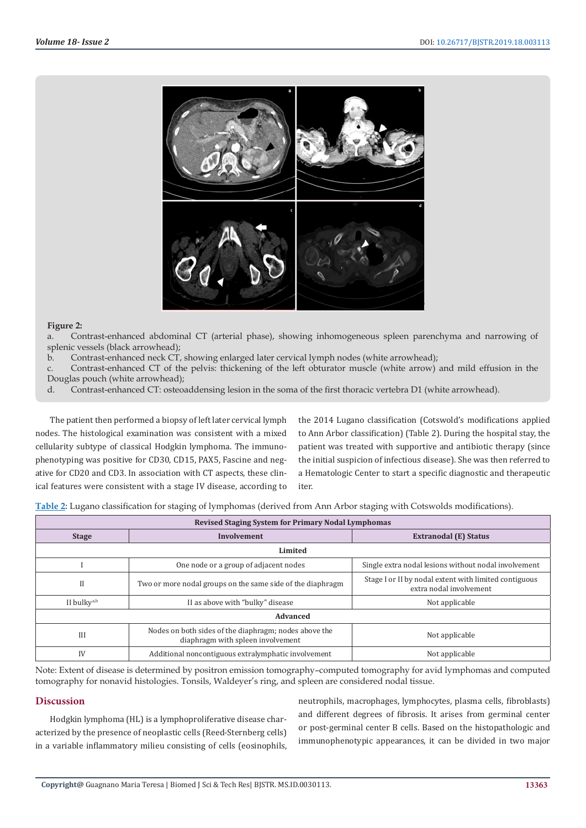

#### **Figure 2:**

a. Contrast-enhanced abdominal CT (arterial phase), showing inhomogeneous spleen parenchyma and narrowing of splenic vessels (black arrowhead);

b. Contrast-enhanced neck CT, showing enlarged later cervical lymph nodes (white arrowhead);

c. Contrast-enhanced CT of the pelvis: thickening of the left obturator muscle (white arrow) and mild effusion in the Douglas pouch (white arrowhead);

d. Contrast-enhanced CT: osteoaddensing lesion in the soma of the first thoracic vertebra D1 (white arrowhead).

The patient then performed a biopsy of left later cervical lymph nodes. The histological examination was consistent with a mixed cellularity subtype of classical Hodgkin lymphoma. The immunophenotyping was positive for CD30, CD15, PAX5, Fascine and negative for CD20 and CD3. In association with CT aspects, these clinical features were consistent with a stage IV disease, according to

the 2014 Lugano classification (Cotswold's modifications applied to Ann Arbor classification) (Table 2). During the hospital stay, the patient was treated with supportive and antibiotic therapy (since the initial suspicion of infectious disease). She was then referred to a Hematologic Center to start a specific diagnostic and therapeutic iter.

**Table 2:** Lugano classification for staging of lymphomas (derived from Ann Arbor staging with Cotswolds modifications).

| <b>Revised Staging System for Primary Nodal Lymphomas</b> |                                                                                            |                                                                                  |  |  |  |
|-----------------------------------------------------------|--------------------------------------------------------------------------------------------|----------------------------------------------------------------------------------|--|--|--|
| <b>Stage</b>                                              | Involvement                                                                                | <b>Extranodal (E) Status</b>                                                     |  |  |  |
| Limited                                                   |                                                                                            |                                                                                  |  |  |  |
|                                                           | One node or a group of adjacent nodes                                                      | Single extra nodal lesions without nodal involvement                             |  |  |  |
| $_{\rm II}$                                               | Two or more nodal groups on the same side of the diaphragm                                 | Stage I or II by nodal extent with limited contiguous<br>extra nodal involvement |  |  |  |
| II bulky <sup>a,b</sup>                                   | II as above with "bulky" disease                                                           | Not applicable                                                                   |  |  |  |
| Advanced                                                  |                                                                                            |                                                                                  |  |  |  |
| III                                                       | Nodes on both sides of the diaphragm; nodes above the<br>diaphragm with spleen involvement | Not applicable                                                                   |  |  |  |
| IV                                                        | Additional noncontiguous extralymphatic involvement                                        | Not applicable                                                                   |  |  |  |

Note: Extent of disease is determined by positron emission tomography–computed tomography for avid lymphomas and computed tomography for nonavid histologies. Tonsils, Waldeyer's ring, and spleen are considered nodal tissue.

#### **Discussion**

Hodgkin lymphoma (HL) is a lymphoproliferative disease characterized by the presence of neoplastic cells (Reed-Sternberg cells) in a variable inflammatory milieu consisting of cells (eosinophils,

neutrophils, macrophages, lymphocytes, plasma cells, fibroblasts) and different degrees of fibrosis. It arises from germinal center or post-germinal center B cells. Based on the histopathologic and immunophenotypic appearances, it can be divided in two major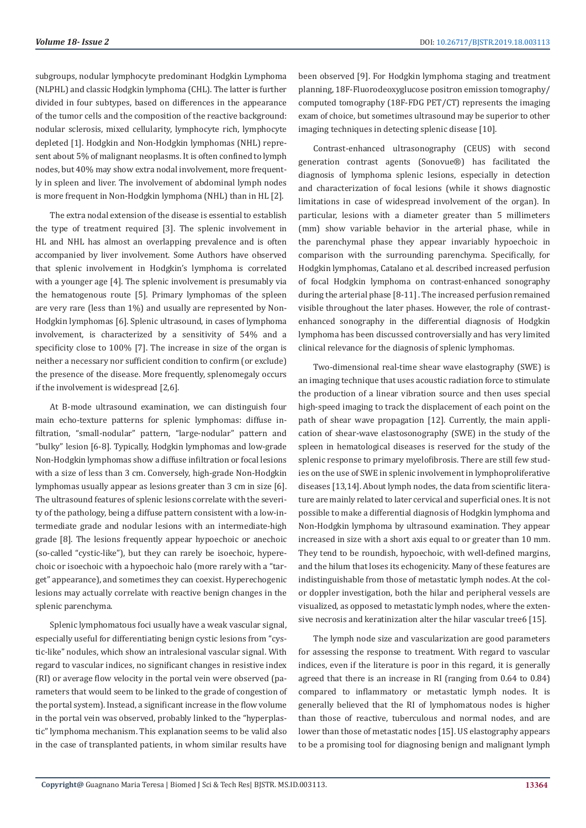subgroups, nodular lymphocyte predominant Hodgkin Lymphoma (NLPHL) and classic Hodgkin lymphoma (CHL). The latter is further divided in four subtypes, based on differences in the appearance of the tumor cells and the composition of the reactive background: nodular sclerosis, mixed cellularity, lymphocyte rich, lymphocyte depleted [1]. Hodgkin and Non-Hodgkin lymphomas (NHL) represent about 5% of malignant neoplasms. It is often confined to lymph nodes, but 40% may show extra nodal involvement, more frequently in spleen and liver. The involvement of abdominal lymph nodes is more frequent in Non-Hodgkin lymphoma (NHL) than in HL [2].

The extra nodal extension of the disease is essential to establish the type of treatment required [3]. The splenic involvement in HL and NHL has almost an overlapping prevalence and is often accompanied by liver involvement. Some Authors have observed that splenic involvement in Hodgkin's lymphoma is correlated with a younger age [4]. The splenic involvement is presumably via the hematogenous route [5]. Primary lymphomas of the spleen are very rare (less than 1%) and usually are represented by Non-Hodgkin lymphomas [6]. Splenic ultrasound, in cases of lymphoma involvement, is characterized by a sensitivity of 54% and a specificity close to 100% [7]. The increase in size of the organ is neither a necessary nor sufficient condition to confirm (or exclude) the presence of the disease. More frequently, splenomegaly occurs if the involvement is widespread [2,6].

At B-mode ultrasound examination, we can distinguish four main echo-texture patterns for splenic lymphomas: diffuse infiltration, "small-nodular" pattern, "large-nodular" pattern and "bulky" lesion [6-8]. Typically, Hodgkin lymphomas and low-grade Non-Hodgkin lymphomas show a diffuse infiltration or focal lesions with a size of less than 3 cm. Conversely, high-grade Non-Hodgkin lymphomas usually appear as lesions greater than 3 cm in size [6]. The ultrasound features of splenic lesions correlate with the severity of the pathology, being a diffuse pattern consistent with a low-intermediate grade and nodular lesions with an intermediate-high grade [8]. The lesions frequently appear hypoechoic or anechoic (so-called "cystic-like"), but they can rarely be isoechoic, hyperechoic or isoechoic with a hypoechoic halo (more rarely with a "target" appearance), and sometimes they can coexist. Hyperechogenic lesions may actually correlate with reactive benign changes in the splenic parenchyma.

Splenic lymphomatous foci usually have a weak vascular signal, especially useful for differentiating benign cystic lesions from "cystic-like" nodules, which show an intralesional vascular signal. With regard to vascular indices, no significant changes in resistive index (RI) or average flow velocity in the portal vein were observed (parameters that would seem to be linked to the grade of congestion of the portal system). Instead, a significant increase in the flow volume in the portal vein was observed, probably linked to the "hyperplastic" lymphoma mechanism. This explanation seems to be valid also in the case of transplanted patients, in whom similar results have been observed [9]. For Hodgkin lymphoma staging and treatment planning, 18F-Fluorodeoxyglucose positron emission tomography/ computed tomography (18F-FDG PET/CT) represents the imaging exam of choice, but sometimes ultrasound may be superior to other imaging techniques in detecting splenic disease [10].

Contrast-enhanced ultrasonography (CEUS) with second generation contrast agents (Sonovue®) has facilitated the diagnosis of lymphoma splenic lesions, especially in detection and characterization of focal lesions (while it shows diagnostic limitations in case of widespread involvement of the organ). In particular, lesions with a diameter greater than 5 millimeters (mm) show variable behavior in the arterial phase, while in the parenchymal phase they appear invariably hypoechoic in comparison with the surrounding parenchyma. Specifically, for Hodgkin lymphomas, Catalano et al. described increased perfusion of focal Hodgkin lymphoma on contrast-enhanced sonography during the arterial phase [8-11] . The increased perfusion remained visible throughout the later phases. However, the role of contrastenhanced sonography in the differential diagnosis of Hodgkin lymphoma has been discussed controversially and has very limited clinical relevance for the diagnosis of splenic lymphomas.

Two-dimensional real-time shear wave elastography (SWE) is an imaging technique that uses acoustic radiation force to stimulate the production of a linear vibration source and then uses special high-speed imaging to track the displacement of each point on the path of shear wave propagation [12]. Currently, the main application of shear-wave elastosonography (SWE) in the study of the spleen in hematological diseases is reserved for the study of the splenic response to primary myelofibrosis. There are still few studies on the use of SWE in splenic involvement in lymphoproliferative diseases [13,14]. About lymph nodes, the data from scientific literature are mainly related to later cervical and superficial ones. It is not possible to make a differential diagnosis of Hodgkin lymphoma and Non-Hodgkin lymphoma by ultrasound examination. They appear increased in size with a short axis equal to or greater than 10 mm. They tend to be roundish, hypoechoic, with well-defined margins, and the hilum that loses its echogenicity. Many of these features are indistinguishable from those of metastatic lymph nodes. At the color doppler investigation, both the hilar and peripheral vessels are visualized, as opposed to metastatic lymph nodes, where the extensive necrosis and keratinization alter the hilar vascular tree6 [15].

The lymph node size and vascularization are good parameters for assessing the response to treatment. With regard to vascular indices, even if the literature is poor in this regard, it is generally agreed that there is an increase in RI (ranging from 0.64 to 0.84) compared to inflammatory or metastatic lymph nodes. It is generally believed that the RI of lymphomatous nodes is higher than those of reactive, tuberculous and normal nodes, and are lower than those of metastatic nodes [15]. US elastography appears to be a promising tool for diagnosing benign and malignant lymph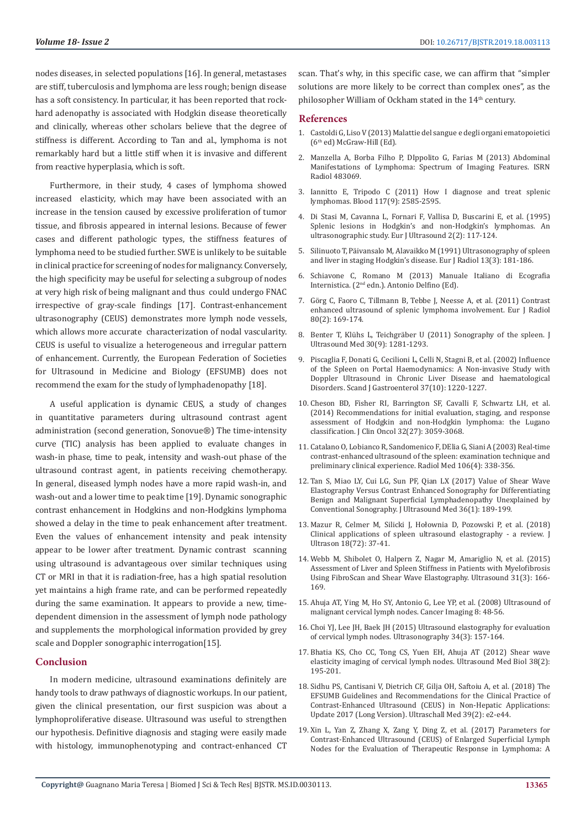nodes diseases, in selected populations [16]. In general, metastases are stiff, tuberculosis and lymphoma are less rough; benign disease has a soft consistency. In particular, it has been reported that rockhard adenopathy is associated with Hodgkin disease theoretically and clinically, whereas other scholars believe that the degree of stiffness is different. According to Tan and al., lymphoma is not remarkably hard but a little stiff when it is invasive and different from reactive hyperplasia, which is soft.

Furthermore, in their study, 4 cases of lymphoma showed increased elasticity, which may have been associated with an increase in the tension caused by excessive proliferation of tumor tissue, and fibrosis appeared in internal lesions. Because of fewer cases and different pathologic types, the stiffness features of lymphoma need to be studied further. SWE is unlikely to be suitable in clinical practice for screening of nodes for malignancy. Conversely, the high specificity may be useful for selecting a subgroup of nodes at very high risk of being malignant and thus could undergo FNAC irrespective of gray-scale findings [17]. Contrast-enhancement ultrasonography (CEUS) demonstrates more lymph node vessels, which allows more accurate characterization of nodal vascularity. CEUS is useful to visualize a heterogeneous and irregular pattern of enhancement. Currently, the European Federation of Societies for Ultrasound in Medicine and Biology (EFSUMB) does not recommend the exam for the study of lymphadenopathy [18].

A useful application is dynamic CEUS, a study of changes in quantitative parameters during ultrasound contrast agent administration (second generation, Sonovue®) The time-intensity curve (TIC) analysis has been applied to evaluate changes in wash-in phase, time to peak, intensity and wash-out phase of the ultrasound contrast agent, in patients receiving chemotherapy. In general, diseased lymph nodes have a more rapid wash-in, and wash-out and a lower time to peak time [19]. Dynamic sonographic contrast enhancement in Hodgkins and non-Hodgkins lymphoma showed a delay in the time to peak enhancement after treatment. Even the values of enhancement intensity and peak intensity appear to be lower after treatment. Dynamic contrast scanning using ultrasound is advantageous over similar techniques using CT or MRI in that it is radiation-free, has a high spatial resolution yet maintains a high frame rate, and can be performed repeatedly during the same examination. It appears to provide a new, timedependent dimension in the assessment of lymph node pathology and supplements the morphological information provided by grey scale and Doppler sonographic interrogation[15].

#### **Conclusion**

In modern medicine, ultrasound examinations definitely are handy tools to draw pathways of diagnostic workups. In our patient, given the clinical presentation, our first suspicion was about a lymphoproliferative disease. Ultrasound was useful to strengthen our hypothesis. Definitive diagnosis and staging were easily made with histology, immunophenotyping and contract-enhanced CT

scan. That's why, in this specific case, we can affirm that "simpler solutions are more likely to be correct than complex ones", as the philosopher William of Ockham stated in the 14<sup>th</sup> century.

#### **References**

- 1. Castoldi G, Liso V (2013) Malattie del sangue e degli organi ematopoietici (6th ed) McGraw-Hill (Ed).
- 2. [Manzella A, Borba Filho P, DIppolito G, Farias M \(2013\) Abdominal](https://www.ncbi.nlm.nih.gov/pubmed/24967280) [Manifestations of Lymphoma: Spectrum of Imaging Features. ISRN](https://www.ncbi.nlm.nih.gov/pubmed/24967280) [Radiol 483069.](https://www.ncbi.nlm.nih.gov/pubmed/24967280)
- 3. [Iannitto E, Tripodo C \(2011\) How I diagnose and treat splenic](https://www.ncbi.nlm.nih.gov/pubmed/21119113) [lymphomas. Blood 117\(9\): 2585-2595.](https://www.ncbi.nlm.nih.gov/pubmed/21119113)
- 4. [Di Stasi M, Cavanna L, Fornari F, Vallisa D, Buscarini E, et al. \(1995\)](https://www.sciencedirect.com/science/article/pii/0929826695000887) [Splenic lesions in Hodgkin's and non-Hodgkin's lymphomas. An](https://www.sciencedirect.com/science/article/pii/0929826695000887) [ultrasonographic study. Eur J Ultrasound 2\(2\): 117-124.](https://www.sciencedirect.com/science/article/pii/0929826695000887)
- 5. [Silinuoto T, Päivansalo M, Alavaikko M \(1991\) Ultrasonography of spleen](https://www.ncbi.nlm.nih.gov/pubmed/1756744) [and liver in staging Hodgkin's disease. Eur J Radiol 13\(3\): 181-186.](https://www.ncbi.nlm.nih.gov/pubmed/1756744)
- 6. Schiavone C, Romano M (2013) Manuale Italiano di Ecografia Internistica. (2nd edn.). Antonio Delfino (Ed).
- 7. [Görg C, Faoro C, Tillmann B, Tebbe J, Neesse A, et al. \(2011\) Contrast](https://www.ncbi.nlm.nih.gov/pubmed/20005061) [enhanced ultrasound of splenic lymphoma involvement. Eur J Radiol](https://www.ncbi.nlm.nih.gov/pubmed/20005061) [80\(2\): 169-174.](https://www.ncbi.nlm.nih.gov/pubmed/20005061)
- 8. [Benter T, Klühs L, Teichgräber U \(2011\) Sonography of the spleen. J](https://www.ncbi.nlm.nih.gov/pubmed/21876100) [Ultrasound Med 30\(9\): 1281-1293.](https://www.ncbi.nlm.nih.gov/pubmed/21876100)
- 9. [Piscaglia F, Donati G, Cecilioni L, Celli N, Stagni B, et al. \(2002\) Influence](https://www.ncbi.nlm.nih.gov/pubmed/12408529) [of the Spleen on Portal Haemodynamics: A Non-invasive Study with](https://www.ncbi.nlm.nih.gov/pubmed/12408529) [Doppler Ultrasound in Chronic Liver Disease and haematological](https://www.ncbi.nlm.nih.gov/pubmed/12408529) [Disorders. Scand J Gastroenterol 37\(10\): 1220-1227.](https://www.ncbi.nlm.nih.gov/pubmed/12408529)
- 10. [Cheson BD, Fisher RI, Barrington SF, Cavalli F, Schwartz LH, et al.](https://www.ncbi.nlm.nih.gov/pubmed/25113753) [\(2014\) Recommendations for initial evaluation, staging, and response](https://www.ncbi.nlm.nih.gov/pubmed/25113753) [assessment of Hodgkin and non-Hodgkin lymphoma: the Lugano](https://www.ncbi.nlm.nih.gov/pubmed/25113753) [classification. J Clin Oncol 32\(27\): 3059-3068.](https://www.ncbi.nlm.nih.gov/pubmed/25113753)
- 11. [Catalano O, Lobianco R, Sandomenico F, DElia G, Siani A \(2003\) Real-time](https://www.ncbi.nlm.nih.gov/pubmed/14612826) [contrast-enhanced ultrasound of the spleen: examination technique and](https://www.ncbi.nlm.nih.gov/pubmed/14612826) [preliminary clinical experience. Radiol Med 106\(4\): 338-356.](https://www.ncbi.nlm.nih.gov/pubmed/14612826)
- 12. [Tan S, Miao LY, Cui LG, Sun PF, Qian LX \(2017\) Value of Shear Wave](https://www.ncbi.nlm.nih.gov/pubmed/27925679) [Elastography Versus Contrast Enhanced Sonography for Differentiating](https://www.ncbi.nlm.nih.gov/pubmed/27925679) [Benign and Malignant Superficial Lymphadenopathy Unexplained by](https://www.ncbi.nlm.nih.gov/pubmed/27925679) [Conventional Sonography. J Ultrasound Med 36\(1\): 189-199.](https://www.ncbi.nlm.nih.gov/pubmed/27925679)
- 13. [Mazur R, Celmer M, Silicki J, Hołownia D, Pozowski P, et al. \(2018\)](https://www.ncbi.nlm.nih.gov/pubmed/29844939) [Clinical applications of spleen ultrasound elastography - a review. J](https://www.ncbi.nlm.nih.gov/pubmed/29844939) [Ultrason 18\(72\): 37-41.](https://www.ncbi.nlm.nih.gov/pubmed/29844939)
- 14. [Webb M, Shibolet O, Halpern Z, Nagar M, Amariglio N, et al. \(2015\)](https://www.ncbi.nlm.nih.gov/pubmed/26366688) [Assessment of Liver and Spleen Stiffness in Patients with Myelofibrosis](https://www.ncbi.nlm.nih.gov/pubmed/26366688) [Using FibroScan and Shear Wave Elastography. Ultrasound 31\(3\): 166-](https://www.ncbi.nlm.nih.gov/pubmed/26366688) [169.](https://www.ncbi.nlm.nih.gov/pubmed/26366688)
- 15. [Ahuja AT, Ying M, Ho SY, Antonio G, Lee YP, et al. \(2008\) Ultrasound of](https://www.ncbi.nlm.nih.gov/pubmed/18390388) [malignant cervical lymph nodes. Cancer Imaging 8: 48-56.](https://www.ncbi.nlm.nih.gov/pubmed/18390388)
- 16. [Choi YJ, Lee JH, Baek JH \(2015\) Ultrasound elastography for evaluation](https://www.ncbi.nlm.nih.gov/pubmed/25827473) [of cervical lymph nodes. Ultrasonography 34\(3\): 157-164.](https://www.ncbi.nlm.nih.gov/pubmed/25827473)
- 17. [Bhatia KS, Cho CC, Tong CS, Yuen EH, Ahuja AT \(2012\) Shear wave](https://www.ncbi.nlm.nih.gov/pubmed/22178167) [elasticity imaging of cervical lymph nodes. Ultrasound Med Biol 38\(2\):](https://www.ncbi.nlm.nih.gov/pubmed/22178167) [195-201.](https://www.ncbi.nlm.nih.gov/pubmed/22178167)
- 18. [Sidhu PS, Cantisani V, Dietrich CF, Gilja OH, Saftoiu A, et al. \(2018\) The](https://www.ncbi.nlm.nih.gov/pubmed/29510439) [EFSUMB Guidelines and Recommendations for the Clinical Practice of](https://www.ncbi.nlm.nih.gov/pubmed/29510439) [Contrast-Enhanced Ultrasound \(CEUS\) in Non-Hepatic Applications:](https://www.ncbi.nlm.nih.gov/pubmed/29510439) [Update 2017 \(Long Version\). Ultraschall Med 39\(2\): e2-e44.](https://www.ncbi.nlm.nih.gov/pubmed/29510439)
- 19. [Xin L, Yan Z, Zhang X, Zang Y, Ding Z, et al. \(2017\) Parameters for](https://www.ncbi.nlm.nih.gov/pubmed/29138385) [Contrast-Enhanced Ultrasound \(CEUS\) of Enlarged Superficial Lymph](https://www.ncbi.nlm.nih.gov/pubmed/29138385) [Nodes for the Evaluation of Therapeutic Response in Lymphoma: A](https://www.ncbi.nlm.nih.gov/pubmed/29138385)